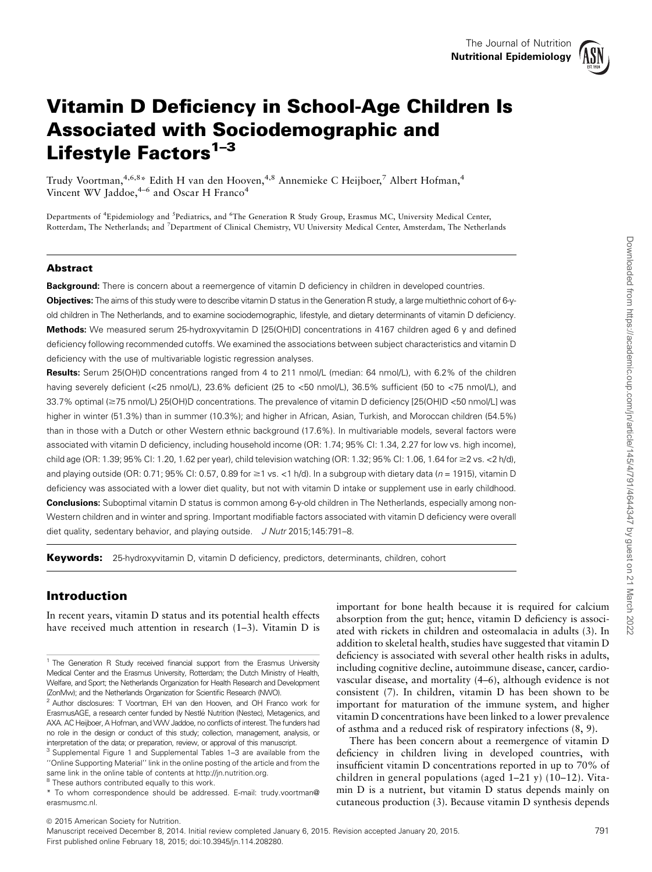

# Vitamin D Deficiency in School-Age Children Is Associated with Sociodemographic and Lifestyle Factors<sup>1-3</sup>

Trudy Voortman,<sup>4,6,8</sup>\* Edith H van den Hooven,<sup>4,8</sup> Annemieke C Heijboer,<sup>7</sup> Albert Hofman,<sup>4</sup> Vincent WV Jaddoe,  $4-6$  and Oscar H Franco<sup>4</sup>

Departments of <sup>4</sup>Epidemiology and <sup>5</sup>Pediatrics, and <sup>6</sup>The Generation R Study Group, Erasmus MC, University Medical Center, Rotterdam, The Netherlands; and <sup>7</sup>Department of Clinical Chemistry, VU University Medical Center, Amsterdam, The Netherlands

#### Abstract

**Background:** There is concern about a reemergence of vitamin D deficiency in children in developed countries.

Objectives: The aims of this study were to describe vitamin D status in the Generation R study, a large multiethnic cohort of 6-yold children in The Netherlands, and to examine sociodemographic, lifestyle, and dietary determinants of vitamin D deficiency. Methods: We measured serum 25-hydroxyvitamin D [25(OH)D] concentrations in 4167 children aged 6 y and defined deficiency following recommended cutoffs. We examined the associations between subject characteristics and vitamin D deficiency with the use of multivariable logistic regression analyses.

Results: Serum 25(OH)D concentrations ranged from 4 to 211 nmol/L (median: 64 nmol/L), with 6.2% of the children having severely deficient (<25 nmol/L), 23.6% deficient (25 to <50 nmol/L), 36.5% sufficient (50 to <75 nmol/L), and 33.7% optimal (≥75 nmol/L) 25(OH)D concentrations. The prevalence of vitamin D deficiency [25(OH)D <50 nmol/L] was higher in winter (51.3%) than in summer (10.3%); and higher in African, Asian, Turkish, and Moroccan children (54.5%) than in those with a Dutch or other Western ethnic background (17.6%). In multivariable models, several factors were associated with vitamin D deficiency, including household income (OR: 1.74; 95% CI: 1.34, 2.27 for low vs. high income), child age (OR: 1.39; 95% CI: 1.20, 1.62 per year), child television watching (OR: 1.32; 95% CI: 1.06, 1.64 for ≥2 vs. <2 h/d), and playing outside (OR: 0.71; 95% CI: 0.57, 0.89 for  $\geq 1$  vs. <1 h/d). In a subgroup with dietary data (n = 1915), vitamin D deficiency was associated with a lower diet quality, but not with vitamin D intake or supplement use in early childhood. Conclusions: Suboptimal vitamin D status is common among 6-y-old children in The Netherlands, especially among non-Western children and in winter and spring. Important modifiable factors associated with vitamin D deficiency were overall diet quality, sedentary behavior, and playing outside. J Nutr 2015;145:791-8.

Keywords: 25-hydroxyvitamin D, vitamin D deficiency, predictors, determinants, children, cohort

## Introduction

In recent years, vitamin D status and its potential health effects have received much attention in research  $(1-3)$ . Vitamin D is

important for bone health because it is required for calcium absorption from the gut; hence, vitamin D deficiency is associated with rickets in children and osteomalacia in adults (3). In addition to skeletal health, studies have suggested that vitamin D deficiency is associated with several other health risks in adults, including cognitive decline, autoimmune disease, cancer, cardiovascular disease, and mortality (4–6), although evidence is not consistent (7). In children, vitamin D has been shown to be important for maturation of the immune system, and higher vitamin D concentrations have been linked to a lower prevalence of asthma and a reduced risk of respiratory infections (8, 9).

There has been concern about a reemergence of vitamin D deficiency in children living in developed countries, with insufficient vitamin D concentrations reported in up to 70% of children in general populations (aged 1–21 y) (10–12). Vitamin D is a nutrient, but vitamin D status depends mainly on cutaneous production (3). Because vitamin D synthesis depends

 $©$  2015 American Society for Nutrition.

<sup>&</sup>lt;sup>1</sup> The Generation R Study received financial support from the Erasmus University Medical Center and the Erasmus University, Rotterdam; the Dutch Ministry of Health, Welfare, and Sport; the Netherlands Organization for Health Research and Development (ZonMw); and the Netherlands Organization for Scientific Research (NWO).

<sup>2</sup> Author disclosures: T Voortman, EH van den Hooven, and OH Franco work for ErasmusAGE, a research center funded by Nestle Nutrition (Nestec), Metagenics, and ´ AXA. AC Heijboer, A Hofman, and VWV Jaddoe, no conflicts of interest. The funders had no role in the design or conduct of this study; collection, management, analysis, or interpretation of the data; or preparation, review, or approval of this manuscript.

<sup>3</sup> Supplemental Figure 1 and Supplemental Tables 1–3 are available from the ''Online Supporting Material'' link in the online posting of the article and from the same link in the online table of contents at http://jn.nutrition.org.

 $8$  These authors contributed equally to this work.

<sup>\*</sup> To whom correspondence should be addressed. E-mail: trudy.voortman@ erasmusmc.nl.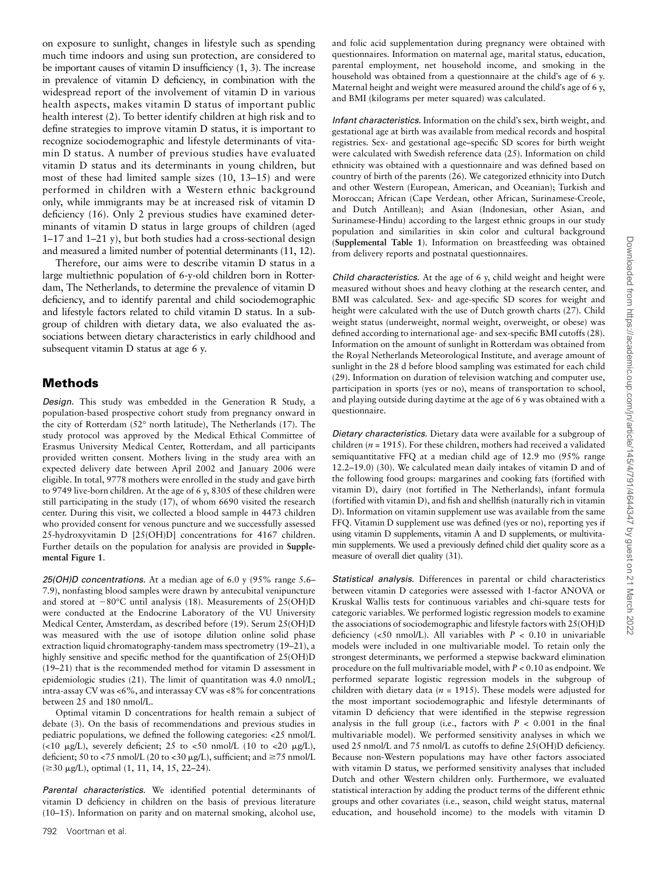on exposure to sunlight, changes in lifestyle such as spending much time indoors and using sun protection, are considered to be important causes of vitamin D insufficiency (1, 3). The increase in prevalence of vitamin D deficiency, in combination with the widespread report of the involvement of vitamin D in various health aspects, makes vitamin D status of important public health interest (2). To better identify children at high risk and to define strategies to improve vitamin D status, it is important to recognize sociodemographic and lifestyle determinants of vitamin D status. A number of previous studies have evaluated vitamin D status and its determinants in young children, but most of these had limited sample sizes (10, 13–15) and were performed in children with a Western ethnic background only, while immigrants may be at increased risk of vitamin D deficiency (16). Only 2 previous studies have examined determinants of vitamin D status in large groups of children (aged 1–17 and 1–21 y), but both studies had a cross-sectional design and measured a limited number of potential determinants (11, 12).

Therefore, our aims were to describe vitamin D status in a large multiethnic population of 6-y-old children born in Rotterdam, The Netherlands, to determine the prevalence of vitamin D deficiency, and to identify parental and child sociodemographic and lifestyle factors related to child vitamin D status. In a subgroup of children with dietary data, we also evaluated the associations between dietary characteristics in early childhood and subsequent vitamin D status at age 6 y.

### Methods

Design. This study was embedded in the Generation R Study, a population-based prospective cohort study from pregnancy onward in the city of Rotterdam (52° north latitude), The Netherlands (17). The study protocol was approved by the Medical Ethical Committee of Erasmus University Medical Center, Rotterdam, and all participants provided written consent. Mothers living in the study area with an expected delivery date between April 2002 and January 2006 were eligible. In total, 9778 mothers were enrolled in the study and gave birth to 9749 live-born children. At the age of 6 y, 8305 of these children were still participating in the study (17), of whom 6690 visited the research center. During this visit, we collected a blood sample in 4473 children who provided consent for venous puncture and we successfully assessed 25-hydroxyvitamin D [25(OH)D] concentrations for 4167 children. Further details on the population for analysis are provided in Supplemental Figure 1.

25(OH)D concentrations. At a median age of 6.0 y (95% range 5.6– 7.9), nonfasting blood samples were drawn by antecubital venipuncture and stored at  $-80^{\circ}$ C until analysis (18). Measurements of 25(OH)D were conducted at the Endocrine Laboratory of the VU University Medical Center, Amsterdam, as described before (19). Serum 25(OH)D was measured with the use of isotope dilution online solid phase extraction liquid chromatography-tandem mass spectrometry (19–21), a highly sensitive and specific method for the quantification of 25(OH)D (19–21) that is the recommended method for vitamin D assessment in epidemiologic studies (21). The limit of quantitation was 4.0 nmol/L; intra-assay CV was <6%, and interassay CV was <8% for concentrations between 25 and 180 nmol/L.

Optimal vitamin D concentrations for health remain a subject of debate (3). On the basis of recommendations and previous studies in pediatric populations, we defined the following categories: <25 nmol/L (<10  $\mu$ g/L), severely deficient; 25 to <50 nmol/L (10 to <20  $\mu$ g/L), deficient; 50 to <75 nmol/L (20 to <30  $\mu$ g/L), sufficient; and  $\geq$ 75 nmol/L  $(\geq 30 \text{ µg/L})$ , optimal  $(1, 11, 14, 15, 22-24)$ .

Parental characteristics. We identified potential determinants of vitamin D deficiency in children on the basis of previous literature (10–15). Information on parity and on maternal smoking, alcohol use,

and folic acid supplementation during pregnancy were obtained with questionnaires. Information on maternal age, marital status, education, parental employment, net household income, and smoking in the household was obtained from a questionnaire at the child's age of 6 y. Maternal height and weight were measured around the child's age of 6 y, and BMI (kilograms per meter squared) was calculated.

Infant characteristics. Information on the child's sex, birth weight, and gestational age at birth was available from medical records and hospital registries. Sex- and gestational age–specific SD scores for birth weight were calculated with Swedish reference data (25). Information on child ethnicity was obtained with a questionnaire and was defined based on country of birth of the parents (26). We categorized ethnicity into Dutch and other Western (European, American, and Oceanian); Turkish and Moroccan; African (Cape Verdean, other African, Surinamese-Creole, and Dutch Antillean); and Asian (Indonesian, other Asian, and Surinamese-Hindu) according to the largest ethnic groups in our study population and similarities in skin color and cultural background (Supplemental Table 1). Information on breastfeeding was obtained from delivery reports and postnatal questionnaires.

Child characteristics. At the age of 6 y, child weight and height were measured without shoes and heavy clothing at the research center, and BMI was calculated. Sex- and age-specific SD scores for weight and height were calculated with the use of Dutch growth charts (27). Child weight status (underweight, normal weight, overweight, or obese) was defined according to international age- and sex-specific BMI cutoffs (28). Information on the amount of sunlight in Rotterdam was obtained from the Royal Netherlands Meteorological Institute, and average amount of sunlight in the 28 d before blood sampling was estimated for each child (29). Information on duration of television watching and computer use, participation in sports (yes or no), means of transportation to school, and playing outside during daytime at the age of 6 y was obtained with a questionnaire.

Dietary characteristics. Dietary data were available for a subgroup of children ( $n = 1915$ ). For these children, mothers had received a validated semiquantitative FFQ at a median child age of 12.9 mo (95% range 12.2–19.0) (30). We calculated mean daily intakes of vitamin D and of the following food groups: margarines and cooking fats (fortified with vitamin D), dairy (not fortified in The Netherlands), infant formula (fortified with vitamin D), and fish and shellfish (naturally rich in vitamin D). Information on vitamin supplement use was available from the same FFQ. Vitamin D supplement use was defined (yes or no), reporting yes if using vitamin D supplements, vitamin A and D supplements, or multivitamin supplements. We used a previously defined child diet quality score as a measure of overall diet quality (31).

Statistical analysis. Differences in parental or child characteristics between vitamin D categories were assessed with 1-factor ANOVA or Kruskal Wallis tests for continuous variables and chi-square tests for categoric variables. We performed logistic regression models to examine the associations of sociodemographic and lifestyle factors with 25(OH)D deficiency (<50 nmol/L). All variables with  $P < 0.10$  in univariable models were included in one multivariable model. To retain only the strongest determinants, we performed a stepwise backward elimination procedure on the full multivariable model, with  $P < 0.10$  as endpoint. We performed separate logistic regression models in the subgroup of children with dietary data ( $n = 1915$ ). These models were adjusted for the most important sociodemographic and lifestyle determinants of vitamin D deficiency that were identified in the stepwise regression analysis in the full group (i.e., factors with  $P < 0.001$  in the final multivariable model). We performed sensitivity analyses in which we used 25 nmol/L and 75 nmol/L as cutoffs to define 25(OH)D deficiency. Because non-Western populations may have other factors associated with vitamin D status, we performed sensitivity analyses that included Dutch and other Western children only. Furthermore, we evaluated statistical interaction by adding the product terms of the different ethnic groups and other covariates (i.e., season, child weight status, maternal education, and household income) to the models with vitamin D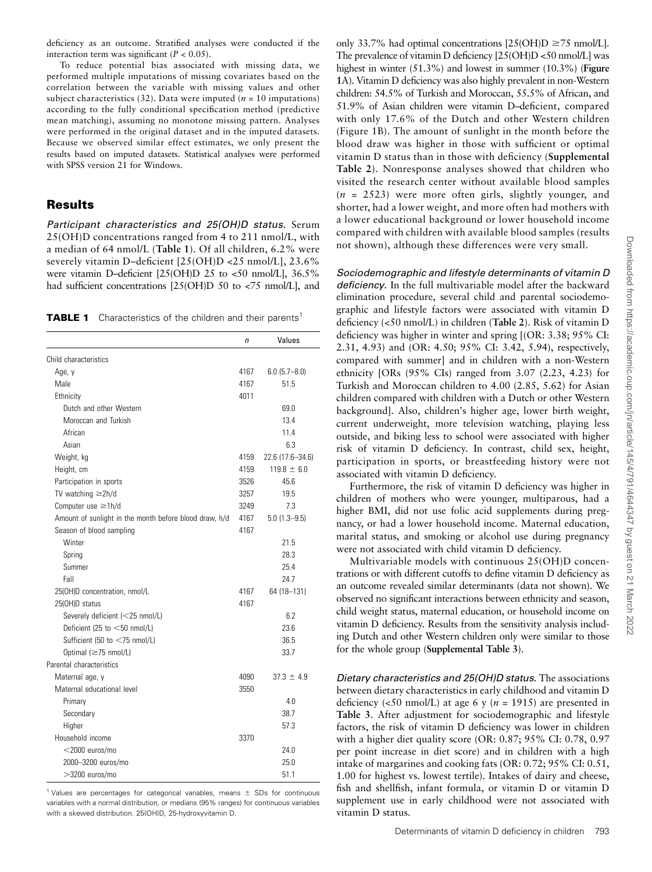deficiency as an outcome. Stratified analyses were conducted if the interaction term was significant  $(P < 0.05)$ .

To reduce potential bias associated with missing data, we performed multiple imputations of missing covariates based on the correlation between the variable with missing values and other subject characteristics (32). Data were imputed ( $n = 10$  imputations) according to the fully conditional specification method (predictive mean matching), assuming no monotone missing pattern. Analyses were performed in the original dataset and in the imputed datasets. Because we observed similar effect estimates, we only present the results based on imputed datasets. Statistical analyses were performed with SPSS version 21 for Windows.

### Results

Participant characteristics and 25(OH)D status. Serum 25(OH)D concentrations ranged from 4 to 211 nmol/L, with a median of 64 nmol/L (Table 1). Of all children, 6.2% were severely vitamin D–deficient [25(OH)D <25 nmol/L], 23.6% were vitamin D–deficient [25(OH)D 25 to <50 nmol/L], 36.5% had sufficient concentrations [25(OH)D 50 to <75 nmol/L], and

**TABLE 1** Characteristics of the children and their parents<sup>1</sup>

|                                                        | n    | Values              |
|--------------------------------------------------------|------|---------------------|
| Child characteristics                                  |      |                     |
| Age, y                                                 | 4167 | $6.0$ $(5.7 - 8.0)$ |
| Male                                                   | 4167 | 51.5                |
| Ethnicity                                              | 4011 |                     |
| Dutch and other Western                                |      | 69.0                |
| Moroccan and Turkish                                   |      | 13.4                |
| African                                                |      | 11.4                |
| Asian                                                  |      | 6.3                 |
| Weight, kg                                             | 4159 | 22.6 (17.6-34.6)    |
| Height, cm                                             | 4159 | $119.8 \pm 6.0$     |
| Participation in sports                                | 3526 | 45.6                |
| TV watching $\geq 2h/d$                                | 3257 | 19.5                |
| Computer use ≥1h/d                                     | 3249 | 7.3                 |
| Amount of sunlight in the month before blood draw, h/d | 4167 | $5.0(1.3 - 9.5)$    |
| Season of blood sampling                               | 4167 |                     |
| Winter                                                 |      | 21.5                |
| Spring                                                 |      | 28.3                |
| Summer                                                 |      | 25.4                |
| Fall                                                   |      | 24.7                |
| 25(OH)D concentration, nmol/L                          | 4167 | 64 (18-131)         |
| 25(OH)D status                                         | 4167 |                     |
| Severely deficient (<25 nmol/L)                        |      | 6.2                 |
| Deficient (25 to <50 nmol/L)                           |      | 23.6                |
| Sufficient (50 to <75 nmol/L)                          |      | 36.5                |
| Optimal (≥75 nmol/L)                                   |      | 33.7                |
| Parental characteristics                               |      |                     |
| Maternal age, y                                        | 4090 | $37.3 \pm 4.9$      |
| Maternal educational level                             | 3550 |                     |
| Primary                                                |      | 4.0                 |
| Secondary                                              |      | 38.7                |
| Higher                                                 |      | 57.3                |
| Household income                                       | 3370 |                     |
| $<$ 2000 euros/mo                                      |      | 24.0                |
| 2000-3200 euros/mo                                     |      | 25.0                |
| $>$ 3200 euros/mo                                      |      | 51.1                |

<sup>1</sup> Values are percentages for categorical variables, means  $\pm$  SDs for continuous variables with a normal distribution, or medians (95% ranges) for continuous variables with a skewed distribution. 25(OH)D, 25-hydroxyvitamin D.

only 33.7% had optimal concentrations  $[25(OH)D \ge 75$  nmol/L]. The prevalence of vitamin D deficiency [25(OH)D <50 nmol/L] was highest in winter (51.3%) and lowest in summer (10.3%) (**Figure** 1A). Vitamin D deficiency was also highly prevalent in non-Western children: 54.5% of Turkish and Moroccan, 55.5% of African, and 51.9% of Asian children were vitamin D–deficient, compared with only 17.6% of the Dutch and other Western children (Figure 1B). The amount of sunlight in the month before the blood draw was higher in those with sufficient or optimal vitamin D status than in those with deficiency (Supplemental Table 2). Nonresponse analyses showed that children who visited the research center without available blood samples  $(n = 2523)$  were more often girls, slightly younger, and shorter, had a lower weight, and more often had mothers with a lower educational background or lower household income compared with children with available blood samples (results not shown), although these differences were very small.

Sociodemographic and lifestyle determinants of vitamin D deficiency. In the full multivariable model after the backward elimination procedure, several child and parental sociodemographic and lifestyle factors were associated with vitamin D deficiency (<50 nmol/L) in children (Table 2). Risk of vitamin D deficiency was higher in winter and spring [(OR: 3.38; 95% CI: 2.31, 4.93) and (OR: 4.50; 95% CI: 3.42, 5.94), respectively, compared with summer] and in children with a non-Western ethnicity [ORs (95% CIs) ranged from 3.07 (2.23, 4.23) for Turkish and Moroccan children to 4.00 (2.85, 5.62) for Asian children compared with children with a Dutch or other Western background]. Also, children's higher age, lower birth weight, current underweight, more television watching, playing less outside, and biking less to school were associated with higher risk of vitamin D deficiency. In contrast, child sex, height, participation in sports, or breastfeeding history were not associated with vitamin D deficiency.

Furthermore, the risk of vitamin D deficiency was higher in children of mothers who were younger, multiparous, had a higher BMI, did not use folic acid supplements during pregnancy, or had a lower household income. Maternal education, marital status, and smoking or alcohol use during pregnancy were not associated with child vitamin D deficiency.

Multivariable models with continuous 25(OH)D concentrations or with different cutoffs to define vitamin D deficiency as an outcome revealed similar determinants (data not shown). We observed no significant interactions between ethnicity and season, child weight status, maternal education, or household income on vitamin D deficiency. Results from the sensitivity analysis including Dutch and other Western children only were similar to those for the whole group (Supplemental Table 3).

Dietary characteristics and 25(OH)D status. The associations between dietary characteristics in early childhood and vitamin D deficiency (<50 nmol/L) at age 6 y ( $n = 1915$ ) are presented in Table 3. After adjustment for sociodemographic and lifestyle factors, the risk of vitamin D deficiency was lower in children with a higher diet quality score (OR: 0.87; 95% CI: 0.78, 0.97 per point increase in diet score) and in children with a high intake of margarines and cooking fats (OR: 0.72; 95% CI: 0.51, 1.00 for highest vs. lowest tertile). Intakes of dairy and cheese, fish and shellfish, infant formula, or vitamin D or vitamin D supplement use in early childhood were not associated with vitamin D status.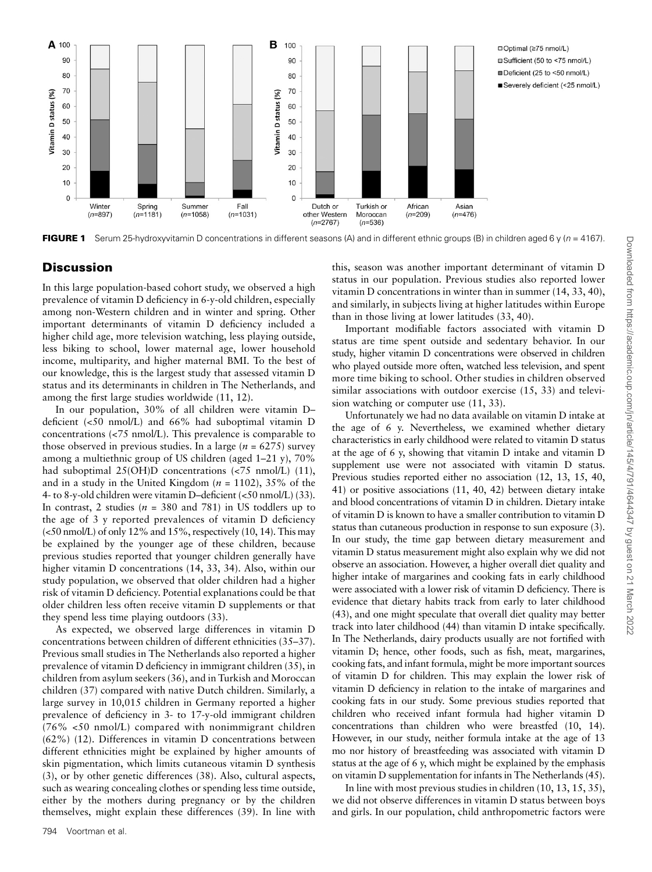

FIGURE 1 Serum 25-hydroxyvitamin D concentrations in different seasons (A) and in different ethnic groups (B) in children aged 6 y ( $n = 4167$ ).

## **Discussion**

In this large population-based cohort study, we observed a high prevalence of vitamin D deficiency in 6-y-old children, especially among non-Western children and in winter and spring. Other important determinants of vitamin D deficiency included a higher child age, more television watching, less playing outside, less biking to school, lower maternal age, lower household income, multiparity, and higher maternal BMI. To the best of our knowledge, this is the largest study that assessed vitamin D status and its determinants in children in The Netherlands, and among the first large studies worldwide (11, 12).

In our population, 30% of all children were vitamin D– deficient (<50 nmol/L) and 66% had suboptimal vitamin D concentrations (<75 nmol/L). This prevalence is comparable to those observed in previous studies. In a large ( $n = 6275$ ) survey among a multiethnic group of US children (aged 1–21 y), 70% had suboptimal 25(OH)D concentrations (<75 nmol/L) (11), and in a study in the United Kingdom ( $n = 1102$ ), 35% of the 4- to 8-y-old children were vitamin D–deficient (<50 nmol/L) (33). In contrast, 2 studies ( $n = 380$  and 781) in US toddlers up to the age of 3 y reported prevalences of vitamin D deficiency (<50 nmol/L) of only 12% and 15%, respectively (10, 14). This may be explained by the younger age of these children, because previous studies reported that younger children generally have higher vitamin D concentrations (14, 33, 34). Also, within our study population, we observed that older children had a higher risk of vitamin D deficiency. Potential explanations could be that older children less often receive vitamin D supplements or that they spend less time playing outdoors (33).

As expected, we observed large differences in vitamin D concentrations between children of different ethnicities (35–37). Previous small studies in The Netherlands also reported a higher prevalence of vitamin D deficiency in immigrant children (35), in children from asylum seekers (36), and in Turkish and Moroccan children (37) compared with native Dutch children. Similarly, a large survey in 10,015 children in Germany reported a higher prevalence of deficiency in 3- to 17-y-old immigrant children (76% <50 nmol/L) compared with nonimmigrant children (62%) (12). Differences in vitamin D concentrations between different ethnicities might be explained by higher amounts of skin pigmentation, which limits cutaneous vitamin D synthesis (3), or by other genetic differences (38). Also, cultural aspects, such as wearing concealing clothes or spending less time outside, either by the mothers during pregnancy or by the children themselves, might explain these differences (39). In line with

this, season was another important determinant of vitamin D status in our population. Previous studies also reported lower vitamin D concentrations in winter than in summer (14, 33, 40), and similarly, in subjects living at higher latitudes within Europe than in those living at lower latitudes (33, 40).

Important modifiable factors associated with vitamin D status are time spent outside and sedentary behavior. In our study, higher vitamin D concentrations were observed in children who played outside more often, watched less television, and spent more time biking to school. Other studies in children observed similar associations with outdoor exercise (15, 33) and television watching or computer use (11, 33).

Unfortunately we had no data available on vitamin D intake at the age of 6 y. Nevertheless, we examined whether dietary characteristics in early childhood were related to vitamin D status at the age of 6 y, showing that vitamin D intake and vitamin D supplement use were not associated with vitamin D status. Previous studies reported either no association (12, 13, 15, 40, 41) or positive associations (11, 40, 42) between dietary intake and blood concentrations of vitamin D in children. Dietary intake of vitamin D is known to have a smaller contribution to vitamin D status than cutaneous production in response to sun exposure (3). In our study, the time gap between dietary measurement and vitamin D status measurement might also explain why we did not observe an association. However, a higher overall diet quality and higher intake of margarines and cooking fats in early childhood were associated with a lower risk of vitamin D deficiency. There is evidence that dietary habits track from early to later childhood (43), and one might speculate that overall diet quality may better track into later childhood (44) than vitamin D intake specifically. In The Netherlands, dairy products usually are not fortified with vitamin D; hence, other foods, such as fish, meat, margarines, cooking fats, and infant formula, might be more important sources of vitamin D for children. This may explain the lower risk of vitamin D deficiency in relation to the intake of margarines and cooking fats in our study. Some previous studies reported that children who received infant formula had higher vitamin D concentrations than children who were breastfed (10, 14). However, in our study, neither formula intake at the age of 13 mo nor history of breastfeeding was associated with vitamin D status at the age of 6 y, which might be explained by the emphasis on vitamin D supplementation for infants in The Netherlands (45).

In line with most previous studies in children (10, 13, 15, 35), we did not observe differences in vitamin D status between boys and girls. In our population, child anthropometric factors were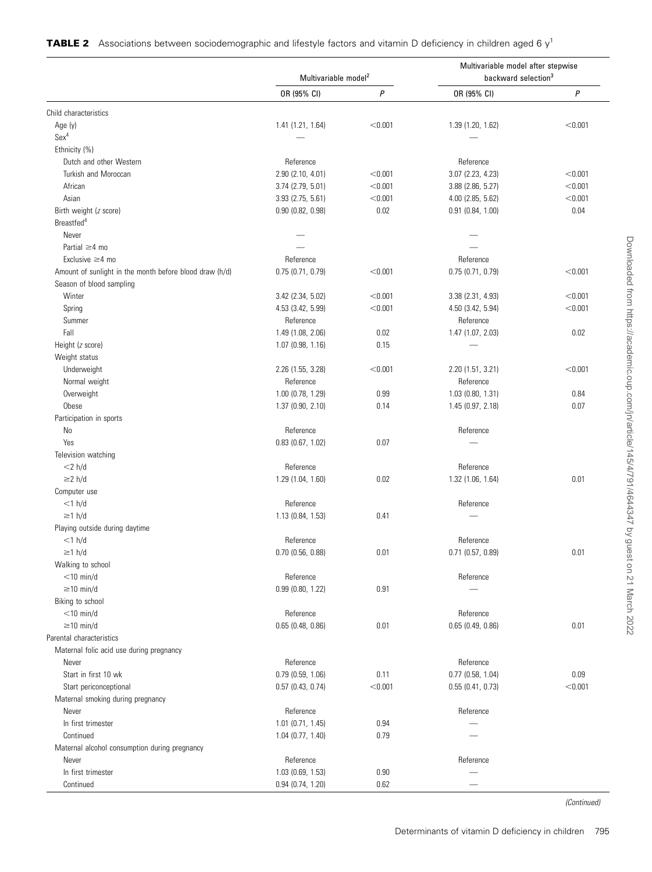|  | <b>TABLE 2</b> Associations between sociodemographic and lifestyle factors and vitamin D deficiency in children aged 6 $y1$ |  |  |  |
|--|-----------------------------------------------------------------------------------------------------------------------------|--|--|--|
|  |                                                                                                                             |  |  |  |

|                                                         | Multivariable model <sup>2</sup> |                  | Multivariable model after stepwise<br>backward selection <sup>3</sup> |                  |  |
|---------------------------------------------------------|----------------------------------|------------------|-----------------------------------------------------------------------|------------------|--|
|                                                         | OR (95% CI)                      | $\boldsymbol{P}$ | OR (95% CI)                                                           | $\boldsymbol{P}$ |  |
| Child characteristics                                   |                                  |                  |                                                                       |                  |  |
| Age (y)                                                 | 1.41 (1.21, 1.64)                | < 0.001          | 1.39(1.20, 1.62)                                                      | < 0.001          |  |
| Sex <sup>4</sup>                                        |                                  |                  |                                                                       |                  |  |
| Ethnicity (%)                                           |                                  |                  |                                                                       |                  |  |
| Dutch and other Western                                 | Reference                        |                  | Reference                                                             |                  |  |
| Turkish and Moroccan                                    | 2.90(2.10, 4.01)                 | < 0.001          | 3.07 (2.23, 4.23)                                                     | < 0.001          |  |
| African                                                 | $3.74$ (2.79, 5.01)              | < 0.001          | 3.88 (2.86, 5.27)                                                     | < 0.001          |  |
| Asian                                                   | 3.93 (2.75, 5.61)                | < 0.001          | 4.00 (2.85, 5.62)                                                     | < 0.001          |  |
| Birth weight (z score)                                  | 0.90(0.82, 0.98)                 | 0.02             | $0.91$ $(0.84, 1.00)$                                                 | 0.04             |  |
| Breastfed <sup>4</sup>                                  |                                  |                  |                                                                       |                  |  |
| Never                                                   |                                  |                  |                                                                       |                  |  |
| Partial $\geq$ 4 mo                                     |                                  |                  |                                                                       |                  |  |
| Exclusive $\geq$ 4 mo                                   | Reference                        |                  | Reference                                                             |                  |  |
| Amount of sunlight in the month before blood draw (h/d) | 0.75(0.71, 0.79)                 | < 0.001          | 0.75(0.71, 0.79)                                                      | < 0.001          |  |
| Season of blood sampling                                |                                  |                  |                                                                       |                  |  |
| Winter                                                  | 3.42 (2.34, 5.02)                | < 0.001          | 3.38 (2.31, 4.93)                                                     | < 0.001          |  |
| Spring                                                  | 4.53 (3.42, 5.99)                | < 0.001          | 4.50 (3.42, 5.94)                                                     | < 0.001          |  |
| Summer                                                  | Reference                        |                  | Reference                                                             |                  |  |
| Fall                                                    | 1.49 (1.08, 2.06)                | 0.02             | 1.47 (1.07, 2.03)                                                     | 0.02             |  |
| Height (z score)                                        | $1.07$ (0.98, 1.16)              | 0.15             |                                                                       |                  |  |
| Weight status                                           |                                  |                  |                                                                       |                  |  |
| Underweight                                             | 2.26 (1.55, 3.28)                | < 0.001          | 2.20 (1.51, 3.21)                                                     | < 0.001          |  |
| Normal weight                                           | Reference                        |                  | Reference                                                             |                  |  |
| Overweight                                              | 1.00 (0.78, 1.29)                | 0.99             | $1.03$ (0.80, 1.31)                                                   | 0.84             |  |
| Obese                                                   | 1.37(0.90, 2.10)                 | 0.14             | 1.45(0.97, 2.18)                                                      | 0.07             |  |
| Participation in sports                                 |                                  |                  |                                                                       |                  |  |
| No                                                      | Reference                        |                  | Reference                                                             |                  |  |
| Yes                                                     | $0.83$ (0.67, 1.02)              | 0.07             |                                                                       |                  |  |
| Television watching                                     |                                  |                  |                                                                       |                  |  |
| $<$ 2 h/d                                               | Reference                        |                  | Reference                                                             |                  |  |
| $\geq$ 2 h/d                                            |                                  |                  |                                                                       |                  |  |
|                                                         | 1.29 (1.04, 1.60)                | 0.02             | 1.32 (1.06, 1.64)                                                     | 0.01             |  |
| Computer use<br>$<$ 1 h/d                               |                                  |                  | Reference                                                             |                  |  |
| $\geq$ 1 h/d                                            | Reference                        |                  |                                                                       |                  |  |
|                                                         | 1.13 (0.84, 1.53)                | 0.41             |                                                                       |                  |  |
| Playing outside during daytime                          |                                  |                  |                                                                       |                  |  |
| $<$ 1 h/d                                               | Reference                        |                  | Reference                                                             |                  |  |
| $\geq$ 1 h/d                                            | $0.70$ (0.56, 0.88)              | 0.01             | $0.71$ (0.57, 0.89)                                                   | 0.01             |  |
| Walking to school                                       |                                  |                  |                                                                       |                  |  |
| $<$ 10 min/d                                            | Reference                        |                  | Reference                                                             |                  |  |
| $\geq$ 10 min/d                                         | 0.99(0.80, 1.22)                 | 0.91             |                                                                       |                  |  |
| Biking to school                                        |                                  |                  |                                                                       |                  |  |
| $<$ 10 min/d                                            | Reference                        |                  | Reference                                                             |                  |  |
| $\geq$ 10 min/d                                         | 0.65(0.48, 0.86)                 | 0.01             | 0.65(0.49, 0.86)                                                      | 0.01             |  |
| Parental characteristics                                |                                  |                  |                                                                       |                  |  |
| Maternal folic acid use during pregnancy                |                                  |                  |                                                                       |                  |  |
| Never                                                   | Reference                        |                  | Reference                                                             |                  |  |
| Start in first 10 wk                                    | 0.79(0.59, 1.06)                 | 0.11             | $0.77$ (0.58, 1.04)                                                   | 0.09             |  |
| Start periconceptional                                  | 0.57(0.43, 0.74)                 | < 0.001          | 0.55(0.41, 0.73)                                                      | < 0.001          |  |
| Maternal smoking during pregnancy                       |                                  |                  |                                                                       |                  |  |
| Never                                                   | Reference                        |                  | Reference                                                             |                  |  |
| In first trimester                                      | $1.01$ (0.71, 1.45)              | 0.94             |                                                                       |                  |  |
| Continued                                               | 1.04(0.77, 1.40)                 | 0.79             |                                                                       |                  |  |
| Maternal alcohol consumption during pregnancy           |                                  |                  |                                                                       |                  |  |
| Never                                                   | Reference                        |                  | Reference                                                             |                  |  |
| In first trimester                                      | $1.03$ (0.69, 1.53)              | 0.90             |                                                                       |                  |  |
| Continued                                               | 0.94(0.74, 1.20)                 | 0.62             |                                                                       |                  |  |

(Continued)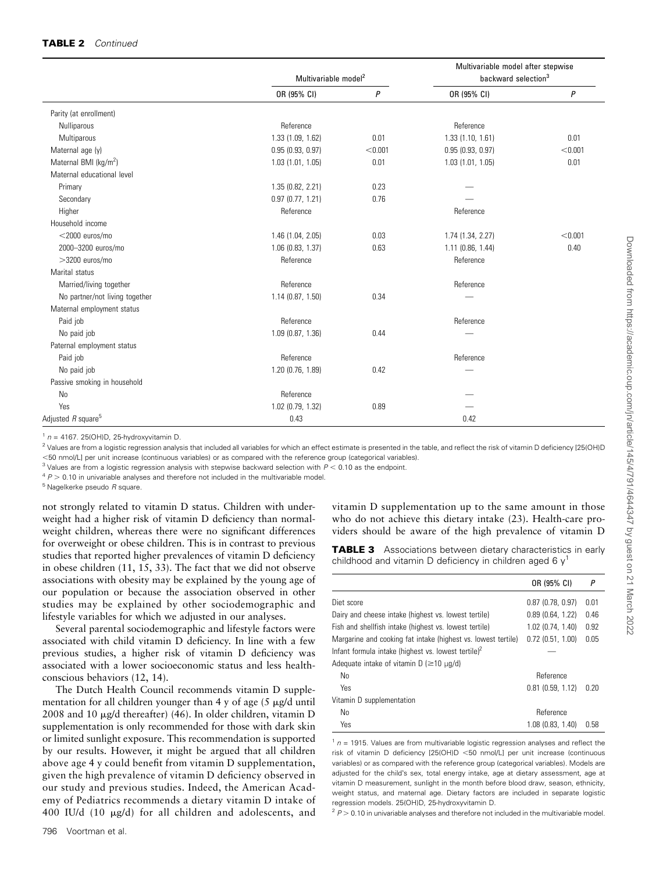#### TABLE 2 Continued

|                                   | Multivariable model <sup>2</sup> |         | Multivariable model after stepwise<br>backward selection <sup>3</sup> |         |
|-----------------------------------|----------------------------------|---------|-----------------------------------------------------------------------|---------|
|                                   | OR (95% CI)                      | P       | OR (95% CI)                                                           | P       |
| Parity (at enrollment)            |                                  |         |                                                                       |         |
| Nulliparous                       | Reference                        |         | Reference                                                             |         |
| Multiparous                       | 1.33 (1.09, 1.62)                | 0.01    | 1.33(1.10, 1.61)                                                      | 0.01    |
| Maternal age (y)                  | 0.95(0.93, 0.97)                 | < 0.001 | 0.95(0.93, 0.97)                                                      | < 0.001 |
| Maternal BMI (kg/m <sup>2</sup> ) | 1.03(1.01, 1.05)                 | 0.01    | 1.03(1.01, 1.05)                                                      | 0.01    |
| Maternal educational level        |                                  |         |                                                                       |         |
| Primary                           | 1.35 (0.82, 2.21)                | 0.23    |                                                                       |         |
| Secondary                         | 0.97(0.77, 1.21)                 | 0.76    |                                                                       |         |
| Higher                            | Reference                        |         | Reference                                                             |         |
| Household income                  |                                  |         |                                                                       |         |
| $<$ 2000 euros/mo                 | 1.46 (1.04, 2.05)                | 0.03    | 1.74 (1.34, 2.27)                                                     | < 0.001 |
| 2000-3200 euros/mo                | $1.06$ $(0.83, 1.37)$            | 0.63    | $1.11$ (0.86, 1.44)                                                   | 0.40    |
| $>3200$ euros/mo                  | Reference                        |         | Reference                                                             |         |
| Marital status                    |                                  |         |                                                                       |         |
| Married/living together           | Reference                        |         | Reference                                                             |         |
| No partner/not living together    | 1.14(0.87, 1.50)                 | 0.34    |                                                                       |         |
| Maternal employment status        |                                  |         |                                                                       |         |
| Paid job                          | Reference                        |         | Reference                                                             |         |
| No paid job                       | $1.09$ $(0.87, 1.36)$            | 0.44    |                                                                       |         |
| Paternal employment status        |                                  |         |                                                                       |         |
| Paid job                          | Reference                        |         | Reference                                                             |         |
| No paid job                       | 1.20(0.76, 1.89)                 | 0.42    |                                                                       |         |
| Passive smoking in household      |                                  |         |                                                                       |         |
| <b>No</b>                         | Reference                        |         |                                                                       |         |
| Yes                               | 1.02 (0.79, 1.32)                | 0.89    |                                                                       |         |
| Adjusted R square <sup>5</sup>    | 0.43                             |         | 0.42                                                                  |         |

 $1 n = 4167$ . 25(OH)D, 25-hydroxyvitamin D.

<sup>2</sup> Values are from a logistic regression analysis that included all variables for which an effect estimate is presented in the table, and reflect the risk of vitamin D deficiency [25(OH)D ,50 nmol/L] per unit increase (continuous variables) or as compared with the reference group (categorical variables).

 $3$  Values are from a logistic regression analysis with stepwise backward selection with  $P < 0.10$  as the endpoint.

 $4 P > 0.10$  in univariable analyses and therefore not included in the multivariable model.

 $5$  Nagelkerke pseudo  $R$  square.

not strongly related to vitamin D status. Children with underweight had a higher risk of vitamin D deficiency than normalweight children, whereas there were no significant differences for overweight or obese children. This is in contrast to previous studies that reported higher prevalences of vitamin D deficiency in obese children (11, 15, 33). The fact that we did not observe associations with obesity may be explained by the young age of our population or because the association observed in other studies may be explained by other sociodemographic and lifestyle variables for which we adjusted in our analyses.

Several parental sociodemographic and lifestyle factors were associated with child vitamin D deficiency. In line with a few previous studies, a higher risk of vitamin D deficiency was associated with a lower socioeconomic status and less healthconscious behaviors (12, 14).

The Dutch Health Council recommends vitamin D supplementation for all children younger than 4 y of age  $(5 \mu g/d \text{ until})$ 2008 and 10  $\mu$ g/d thereafter) (46). In older children, vitamin D supplementation is only recommended for those with dark skin or limited sunlight exposure. This recommendation is supported by our results. However, it might be argued that all children above age 4 y could benefit from vitamin D supplementation, given the high prevalence of vitamin D deficiency observed in our study and previous studies. Indeed, the American Academy of Pediatrics recommends a dietary vitamin D intake of 400 IU/d (10 mg/d) for all children and adolescents, and

796 Voortman et al.

vitamin D supplementation up to the same amount in those who do not achieve this dietary intake (23). Health-care providers should be aware of the high prevalence of vitamin D

**TABLE 3** Associations between dietary characteristics in early childhood and vitamin D deficiency in children aged 6  $y<sup>1</sup>$ 

|                                                               | OR (95% CI)           | P    |
|---------------------------------------------------------------|-----------------------|------|
| Diet score                                                    | $0.87$ (0.78, 0.97)   | 0.01 |
| Dairy and cheese intake (highest vs. lowest tertile)          | 0.89(0.64, 1.22)      | 0.46 |
| Fish and shellfish intake (highest vs. lowest tertile)        | 1.02 (0.74, 1.40)     | 0.92 |
| Margarine and cooking fat intake (highest vs. lowest tertile) | $0.72$ $(0.51, 1.00)$ | 0.05 |
| Infant formula intake (highest vs. lowest tertile) $2$        |                       |      |
| Adequate intake of vitamin $D$ ( $\geq$ 10 $\mu$ g/d)         |                       |      |
| No                                                            | Reference             |      |
| Yes                                                           | $0.81$ $(0.59, 1.12)$ | 0.20 |
| Vitamin D supplementation                                     |                       |      |
| No                                                            | Reference             |      |
| Yes                                                           | 1.08 (0.83, 1.40)     | 0.58 |

 $1 n = 1915$ . Values are from multivariable logistic regression analyses and reflect the risk of vitamin D deficiency  $[25(OH)D < 50$  nmol/L] per unit increase (continuous variables) or as compared with the reference group (categorical variables). Models are adjusted for the child's sex, total energy intake, age at dietary assessment, age at vitamin D measurement, sunlight in the month before blood draw, season, ethnicity, weight status, and maternal age. Dietary factors are included in separate logistic regression models. 25(OH)D, 25-hydroxyvitamin D.

 $2 P > 0.10$  in univariable analyses and therefore not included in the multivariable model.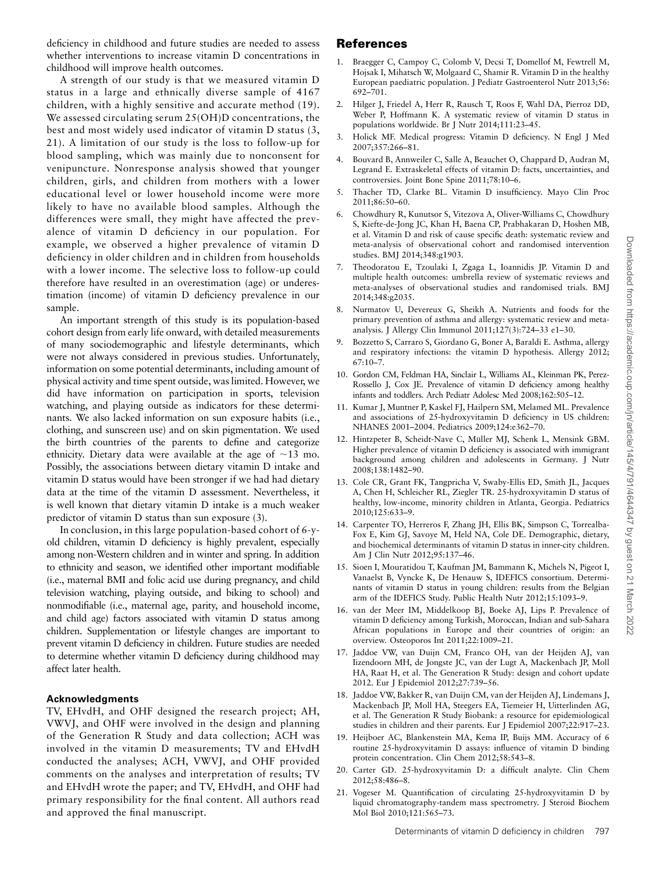A strength of our study is that we measured vitamin D status in a large and ethnically diverse sample of 4167 children, with a highly sensitive and accurate method (19). We assessed circulating serum 25(OH)D concentrations, the best and most widely used indicator of vitamin D status (3, 21). A limitation of our study is the loss to follow-up for blood sampling, which was mainly due to nonconsent for venipuncture. Nonresponse analysis showed that younger children, girls, and children from mothers with a lower educational level or lower household income were more likely to have no available blood samples. Although the differences were small, they might have affected the prevalence of vitamin D deficiency in our population. For example, we observed a higher prevalence of vitamin D deficiency in older children and in children from households with a lower income. The selective loss to follow-up could therefore have resulted in an overestimation (age) or underestimation (income) of vitamin D deficiency prevalence in our sample.

An important strength of this study is its population-based cohort design from early life onward, with detailed measurements of many sociodemographic and lifestyle determinants, which were not always considered in previous studies. Unfortunately, information on some potential determinants, including amount of physical activity and time spent outside, was limited. However, we did have information on participation in sports, television watching, and playing outside as indicators for these determinants. We also lacked information on sun exposure habits (i.e., clothing, and sunscreen use) and on skin pigmentation. We used the birth countries of the parents to define and categorize ethnicity. Dietary data were available at the age of  $\sim$ 13 mo. Possibly, the associations between dietary vitamin D intake and vitamin D status would have been stronger if we had had dietary data at the time of the vitamin D assessment. Nevertheless, it is well known that dietary vitamin D intake is a much weaker predictor of vitamin D status than sun exposure (3).

In conclusion, in this large population-based cohort of 6-yold children, vitamin D deficiency is highly prevalent, especially among non-Western children and in winter and spring. In addition to ethnicity and season, we identified other important modifiable (i.e., maternal BMI and folic acid use during pregnancy, and child television watching, playing outside, and biking to school) and nonmodifiable (i.e., maternal age, parity, and household income, and child age) factors associated with vitamin D status among children. Supplementation or lifestyle changes are important to prevent vitamin D deficiency in children. Future studies are needed to determine whether vitamin D deficiency during childhood may affect later health.

### Acknowledgments

TV, EHvdH, and OHF designed the research project; AH, VWVJ, and OHF were involved in the design and planning of the Generation R Study and data collection; ACH was involved in the vitamin D measurements; TV and EHvdH conducted the analyses; ACH, VWVJ, and OHF provided comments on the analyses and interpretation of results; TV and EHvdH wrote the paper; and TV, EHvdH, and OHF had primary responsibility for the final content. All authors read and approved the final manuscript.

# References

- 1. Braegger C, Campoy C, Colomb V, Decsi T, Domellof M, Fewtrell M, Hojsak I, Mihatsch W, Molgaard C, Shamir R. Vitamin D in the healthy European paediatric population. J Pediatr Gastroenterol Nutr 2013;56: 692–701.
- 2. Hilger J, Friedel A, Herr R, Rausch T, Roos F, Wahl DA, Pierroz DD, Weber P, Hoffmann K. A systematic review of vitamin D status in populations worldwide. Br J Nutr 2014;111:23–45.
- 3. Holick MF. Medical progress: Vitamin D deficiency. N Engl J Med 2007;357:266–81.
- 4. Bouvard B, Annweiler C, Salle A, Beauchet O, Chappard D, Audran M, Legrand E. Extraskeletal effects of vitamin D: facts, uncertainties, and controversies. Joint Bone Spine 2011;78:10–6.
- 5. Thacher TD, Clarke BL. Vitamin D insufficiency. Mayo Clin Proc 2011;86:50–60.
- 6. Chowdhury R, Kunutsor S, Vitezova A, Oliver-Williams C, Chowdhury S, Kiefte-de-Jong JC, Khan H, Baena CP, Prabhakaran D, Hoshen MB, et al. Vitamin D and risk of cause specific death: systematic review and meta-analysis of observational cohort and randomised intervention studies. BMJ 2014;348:g1903.
- 7. Theodoratou E, Tzoulaki I, Zgaga L, Ioannidis JP. Vitamin D and multiple health outcomes: umbrella review of systematic reviews and meta-analyses of observational studies and randomised trials. BMJ 2014;348:g2035.
- 8. Nurmatov U, Devereux G, Sheikh A. Nutrients and foods for the primary prevention of asthma and allergy: systematic review and metaanalysis. J Allergy Clin Immunol 2011;127(3):724–33 e1–30.
- 9. Bozzetto S, Carraro S, Giordano G, Boner A, Baraldi E. Asthma, allergy and respiratory infections: the vitamin D hypothesis. Allergy 2012; 67:10–7.
- 10. Gordon CM, Feldman HA, Sinclair L, Williams AL, Kleinman PK, Perez-Rossello J, Cox JE. Prevalence of vitamin D deficiency among healthy infants and toddlers. Arch Pediatr Adolesc Med 2008;162:505–12.
- 11. Kumar J, Muntner P, Kaskel FJ, Hailpern SM, Melamed ML. Prevalence and associations of 25-hydroxyvitamin D deficiency in US children: NHANES 2001–2004. Pediatrics 2009;124:e362–70.
- 12. Hintzpeter B, Scheidt-Nave C, Müller MJ, Schenk L, Mensink GBM. Higher prevalence of vitamin D deficiency is associated with immigrant background among children and adolescents in Germany. J Nutr 2008;138:1482–90.
- 13. Cole CR, Grant FK, Tangpricha V, Swaby-Ellis ED, Smith JL, Jacques A, Chen H, Schleicher RL, Ziegler TR. 25-hydroxyvitamin D status of healthy, low-income, minority children in Atlanta, Georgia. Pediatrics 2010;125:633–9.
- 14. Carpenter TO, Herreros F, Zhang JH, Ellis BK, Simpson C, Torrealba-Fox E, Kim GJ, Savoye M, Held NA, Cole DE. Demographic, dietary, and biochemical determinants of vitamin D status in inner-city children. Am J Clin Nutr 2012;95:137–46.
- 15. Sioen I, Mouratidou T, Kaufman JM, Bammann K, Michels N, Pigeot I, Vanaelst B, Vyncke K, De Henauw S, IDEFICS consortium. Determinants of vitamin D status in young children: results from the Belgian arm of the IDEFICS Study. Public Health Nutr 2012;15:1093–9.
- 16. van der Meer IM, Middelkoop BJ, Boeke AJ, Lips P. Prevalence of vitamin D deficiency among Turkish, Moroccan, Indian and sub-Sahara African populations in Europe and their countries of origin: an overview. Osteoporos Int 2011;22:1009–21.
- 17. Jaddoe VW, van Duijn CM, Franco OH, van der Heijden AJ, van Iizendoorn MH, de Jongste JC, van der Lugt A, Mackenbach JP, Moll HA, Raat H, et al. The Generation R Study: design and cohort update 2012. Eur J Epidemiol 2012;27:739–56.
- 18. Jaddoe VW, Bakker R, van Duijn CM, van der Heijden AJ, Lindemans J, Mackenbach JP, Moll HA, Steegers EA, Tiemeier H, Uitterlinden AG, et al. The Generation R Study Biobank: a resource for epidemiological studies in children and their parents. Eur J Epidemiol 2007;22:917–23.
- 19. Heijboer AC, Blankenstein MA, Kema IP, Buijs MM. Accuracy of 6 routine 25-hydroxyvitamin D assays: influence of vitamin D binding protein concentration. Clin Chem 2012;58:543–8.
- 20. Carter GD. 25-hydroxyvitamin D: a difficult analyte. Clin Chem 2012;58:486–8.
- 21. Vogeser M. Quantification of circulating 25-hydroxyvitamin D by liquid chromatography-tandem mass spectrometry. J Steroid Biochem Mol Biol 2010;121:565–73.